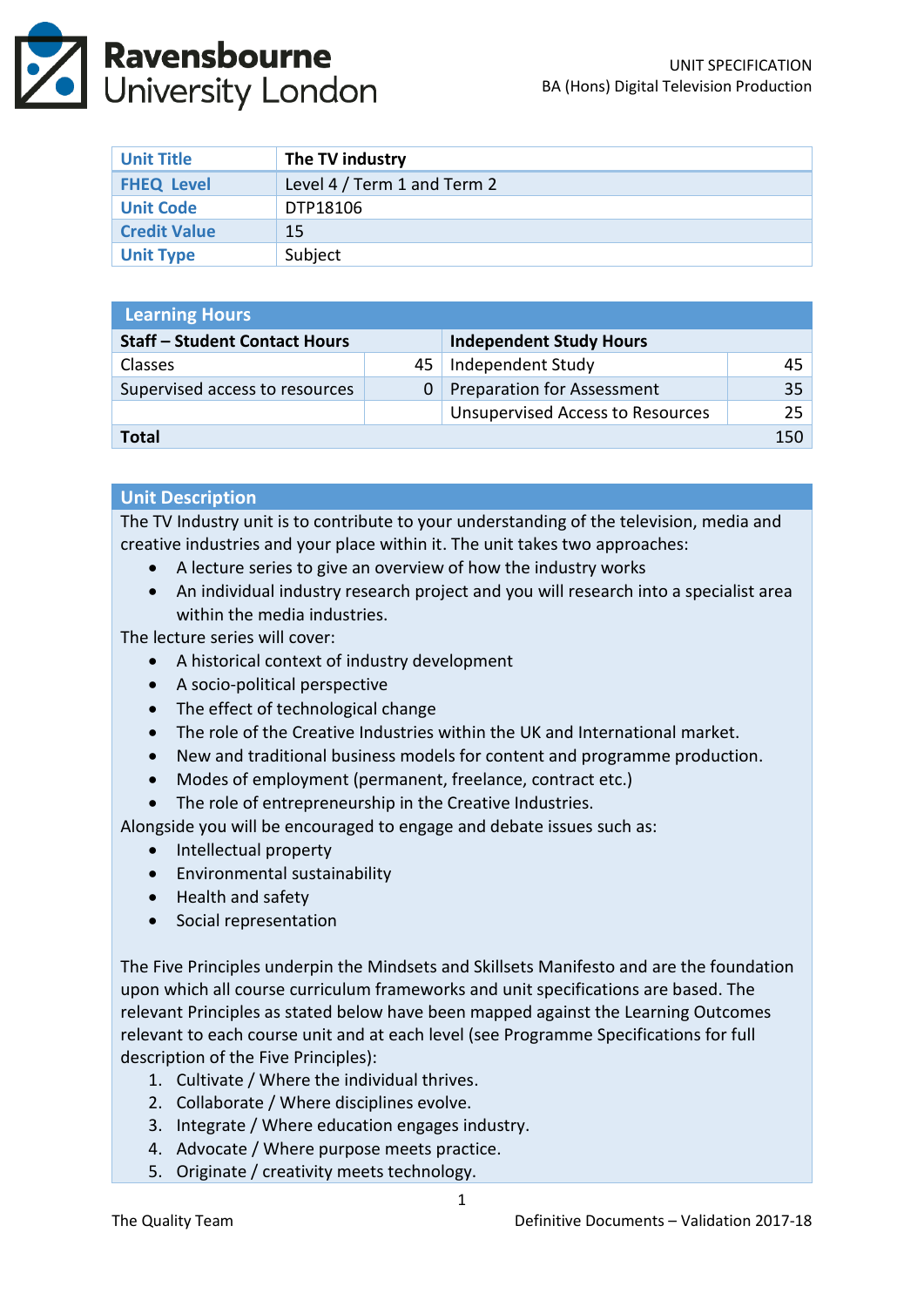

| <b>Unit Title</b>   | The TV industry             |
|---------------------|-----------------------------|
| <b>FHEQ Level</b>   | Level 4 / Term 1 and Term 2 |
| <b>Unit Code</b>    | DTP18106                    |
| <b>Credit Value</b> | 15                          |
| <b>Unit Type</b>    | Subject                     |

| <b>Learning Hours</b>                |    |                                         |    |  |
|--------------------------------------|----|-----------------------------------------|----|--|
| <b>Staff - Student Contact Hours</b> |    | <b>Independent Study Hours</b>          |    |  |
| <b>Classes</b>                       | 45 | Independent Study                       | 45 |  |
| Supervised access to resources       | 0  | <b>Preparation for Assessment</b>       | 35 |  |
|                                      |    | <b>Unsupervised Access to Resources</b> | 25 |  |
| Total                                |    |                                         |    |  |

#### **Unit Description**

The TV Industry unit is to contribute to your understanding of the television, media and creative industries and your place within it. The unit takes two approaches:

- A lecture series to give an overview of how the industry works
- An individual industry research project and you will research into a specialist area within the media industries.

The lecture series will cover:

- A historical context of industry development
- A socio-political perspective
- The effect of technological change
- The role of the Creative Industries within the UK and International market.
- New and traditional business models for content and programme production.
- Modes of employment (permanent, freelance, contract etc.)
- The role of entrepreneurship in the Creative Industries.

Alongside you will be encouraged to engage and debate issues such as:

- Intellectual property
- Environmental sustainability
- Health and safety
- Social representation

The Five Principles underpin the Mindsets and Skillsets Manifesto and are the foundation upon which all course curriculum frameworks and unit specifications are based. The relevant Principles as stated below have been mapped against the Learning Outcomes relevant to each course unit and at each level (see Programme Specifications for full description of the Five Principles):

- 1. Cultivate / Where the individual thrives.
- 2. Collaborate / Where disciplines evolve.
- 3. Integrate / Where education engages industry.
- 4. Advocate / Where purpose meets practice.
- 5. Originate / creativity meets technology.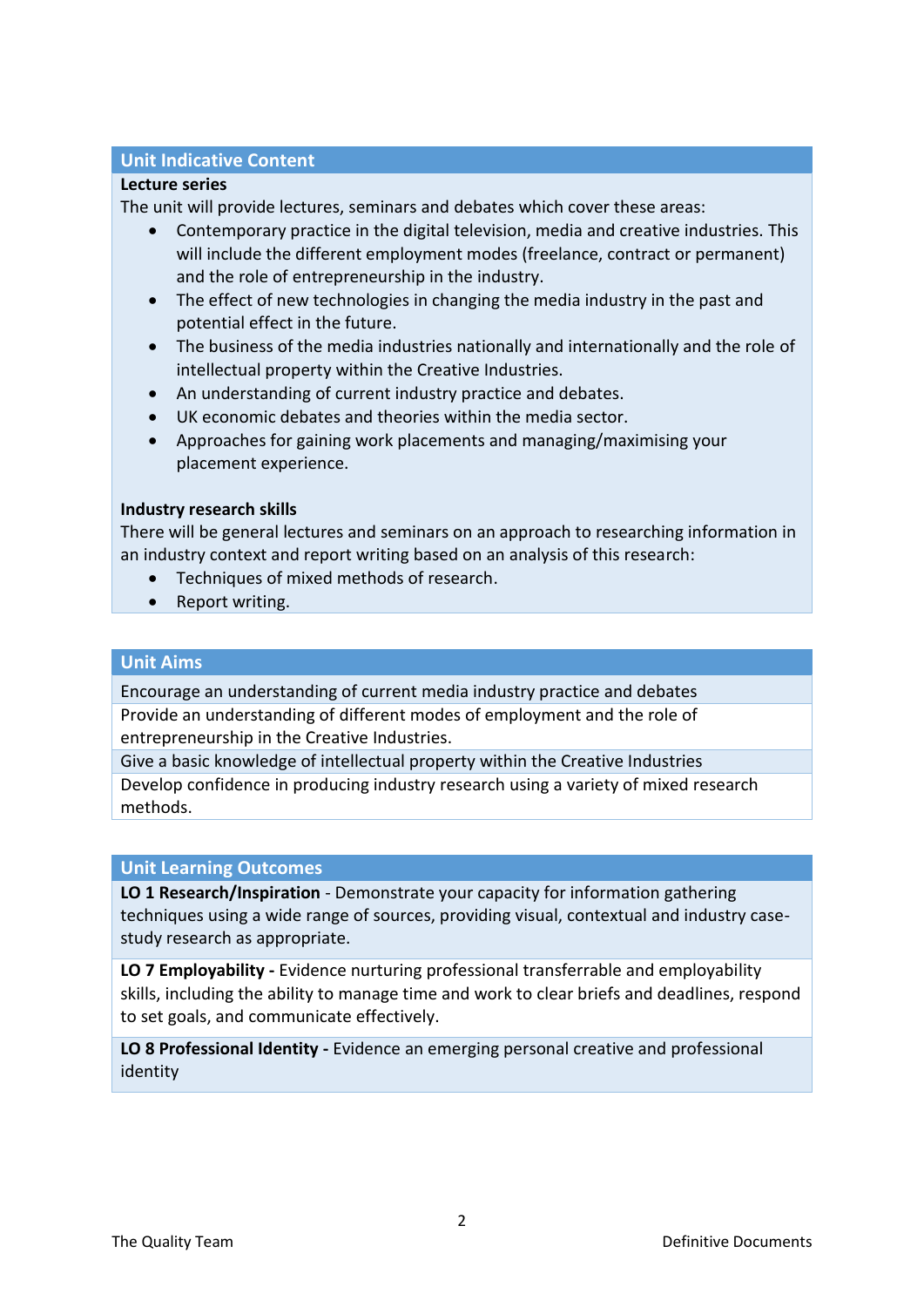# **Unit Indicative Content**

### **Lecture series**

The unit will provide lectures, seminars and debates which cover these areas:

- Contemporary practice in the digital television, media and creative industries. This will include the different employment modes (freelance, contract or permanent) and the role of entrepreneurship in the industry.
- The effect of new technologies in changing the media industry in the past and potential effect in the future.
- The business of the media industries nationally and internationally and the role of intellectual property within the Creative Industries.
- An understanding of current industry practice and debates.
- UK economic debates and theories within the media sector.
- Approaches for gaining work placements and managing/maximising your placement experience.

# **Industry research skills**

There will be general lectures and seminars on an approach to researching information in an industry context and report writing based on an analysis of this research:

- Techniques of mixed methods of research.
- Report writing.

### **Unit Aims**

Encourage an understanding of current media industry practice and debates Provide an understanding of different modes of employment and the role of entrepreneurship in the Creative Industries.

Give a basic knowledge of intellectual property within the Creative Industries Develop confidence in producing industry research using a variety of mixed research methods.

#### **Unit Learning Outcomes**

**LO 1 Research/Inspiration** - Demonstrate your capacity for information gathering techniques using a wide range of sources, providing visual, contextual and industry casestudy research as appropriate.

**LO 7 Employability -** Evidence nurturing professional transferrable and employability skills, including the ability to manage time and work to clear briefs and deadlines, respond to set goals, and communicate effectively.

**LO 8 Professional Identity -** Evidence an emerging personal creative and professional identity